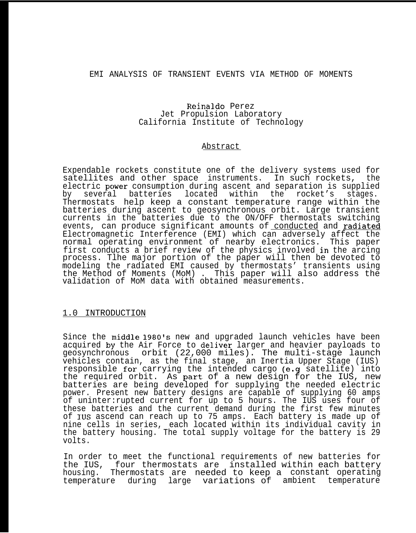# EMI ANALYSIS OF TRANSIENT EVENTS VIA METHOD OF MOMENTS

#### Reinaldo Perez Jet Propulsion Laboratory California Institute of Technology

#### Abstract

Expendable rockets constitute one of the delivery systems used for satellites and other space instruments. In such rockets, the electric power consumption during ascent and separation is supplied by several batteries located within the rocket's stages. Thermostats help keep a constant temperature range within the batteries during ascent to geosynchronous orbit. Large transient currents in the batteries due to the ON/OFF thermostats switching events, can produce significant amounts of conducted and radiated Electromagnetic Interference (EMI) which can adversely affect the normal operating environment of nearby electronics. This paper first conducts a brief review of the physics involved in the arcing process. Tlhe major portion of the paper will then be devoted to modeling the radiated EMI caused by thermostats' transients using the Method of Moments (MoM) . This paper will also address the validation of MoM data with obtained measurements.

## 1.0 INTRODUCTION

Since the middle 1980's new and upgraded launch vehicles have been acquired by the Air Force to deliver larger and heavier payloads to geosynchronous orbit (22,000 miles). The multi-stage launch vehicles contain, as the final stage, an Inertia Upper Stage (IUS) responsible for carrying the intended cargo (e.g satellite) into the required orbit. As part. of a new design for the IUS, new batteries are being developed for supplying the needed electric power. Present new battery designs are capable of supplying 60 amps of uninter:rupted current for up to 5 hours. The IUS uses four of these batteries and the current demand during the first few minutes of IUS ascend can reach up to 75 amps. Each battery is made up of nine cells in series, each located within its individual cavity in the battery housing. The total supply voltage for the battery is 29 volts.

In order to meet the functional requirements of new batteries for the IUS, four thermostats are installed within each battery housing. Thermostats are needed to keep a constant operating temperature during large variations of ambient temperature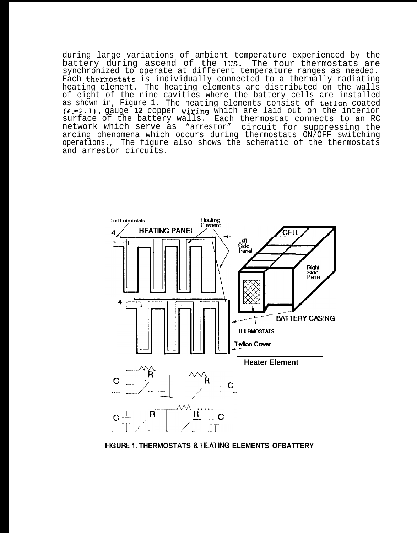during large variations of ambient temperature experienced by the battery during ascend of the IUS. The four thermostats are synchronized to operate at different temperature ranges as needed. Each thermostats is individually connected to a thermally radiating heating element. The heating elements are distributed on the walls of eight of the nine cavities where the battery cells are installed<br>as shown in, Figure 1. The heating elements consist of teflon coated  $(\epsilon_{r}=2.1)$ , gauge 12 copper wiring which are laid out on the interior surface of the battery walls. Each thermostat connects to an RC network which serve as "arrestor" circuit for suppressing the arcing phenomena which occurs during thermostats ON/OFF switching operations., The figure also shows the schematic of the thermostats and arrestor circuits.



FIGURE 1. THERMOSTATS & HEATING ELEMENTS OFBATTERY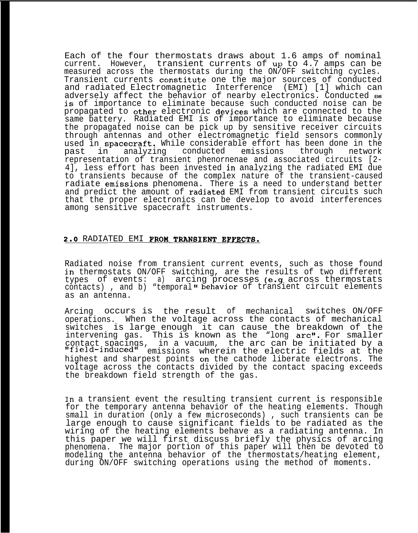Each of the four thermostats draws about 1.6 amps of nominal current. However, transient currents of up to 4.7 amps can be measured across the thermostats during the ON/OFF switching cycles. Transient currents constitute one the major sources of conducted and radiated Electromagnetic Interference (EMI) [1] which can adversely affect the behavior of nearby electronics. Conducted EMI **is** of importance to eliminate because such conducted noise can be propagated to other electronic devices which are connected to the same battery. Radiated EMI is of importance to eliminate because the propagated noise can be pick up by sensitive receiver circuits through antennas and other electromagnetic field sensors commonly used in spacecraft. While considerable effort has been done in the<br>past in analyzing conducted emissions through network analyzing representation of transient phenornenae and associated circuits [2- 4], less effort has been invested in analyzing the radiated EMI due to transients because of the complex nature of the transient-caused radiate emissions phenomena. There is a need to understand better and predict the amount of radiated EMI from transient circuits such that the proper electronics can be develop to avoid interferences among sensitive spacecraft instruments.

#### 2.0 RADIATED EMI FROM TRANSIENT EFFECTS.

Radiated noise from transient current events, such as those found in thermostats ON/OFF switching, are the results of two different types of events: a) arcing processes (e.g across thermostats contacts) , and b) "temporal" behavior of transient circuit elements as an antenna.

Arcing occurs is the result of mechanical switches ON/OFF operations. When the voltage across the contacts of mechanical switches is large enough it can cause the breakdown of the intervening gas. This is known as the "long arc". For smaller contact spacings, in a vacuum, the arc can be initiated by a "field-induced" emissions wherein the electric fields at the highest and sharpest points on the cathode liberate electrons. The voltage across the contacts divided by the contact spacing exceeds the breakdown field strength of the gas.

In a transient event the resulting transient current is responsible for the temporary antenna behavior of the heating elements. Though small in duration (only a few microseconds), such transients can be large enough to cause significant fields to be radiated as the wiring of the heating elements behave as a radiating antenna. In this paper we will first discuss briefly the physics of arcing phenomena. The major portion of this paper will then be devoted to modeling the antenna behavior of the thermostats/heating element, during ON/OFF switching operations using the method of moments.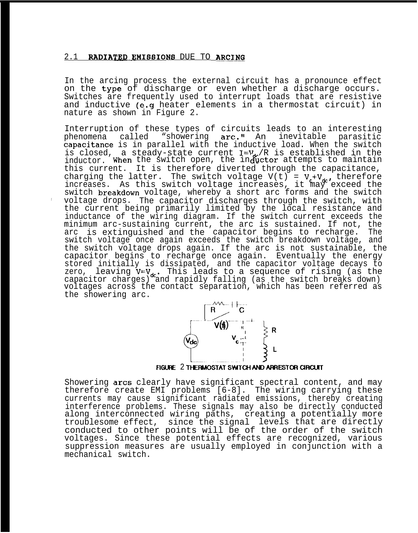#### 2.1 RADIATED EMISSIONS DUE TO ARCING

In the arcing process the external circuit has a pronounce effect on the type of discharge or even whether a discharge occurs. Switches are frequently used to interrupt loads that are resistive and inductive (e.g heater elements in a thermostat circuit) in nature as shown in Figure 2.

Interruption of these types of circuits leads to an interesting phenomena called "showering arc." An inevitable parasitic capacitance is in parallel with the inductive load. When the switch is closed, a steady-state current I=V, R is established in the<br>inductor. When the switch open, the inductor attempts to maintain this current. It is therefore diverted through the capacitance, charging the latter. The switch voltage  $V(t) = V_t + V_{dt}$ , therefore increases. As this switch voltage increases, it may exceed the switch breakdown voltage, whereby a short arc forms and the switch , voltage drops. The capacitor discharges through the switch, with the current being primarily limited by the local resistance and inductance of the wiring diagram. If the switch current exceeds the minimum arc-sustaining current, the arc is sustained. If not, the arc is extinguished and the capacitor begins to recharge. The switch voltage once again exceeds the switch breakdown voltage, and the switch voltage drops again. If the arc is not sustainable, the capacitor begins to recharge once again. Eventually the energy stored initially is dissipated, and the capacitor voltage decays to zero, leaving  $V=V_{dc}$ . This leads to a sequence of rising (as the capacitor charges) and rapidly falling (as the switch breaks down) voltages across the contact separation, which has been referred as the showering arc.



Showering arcs clearly have significant spectral content, and may therefore create EMI problems [6-8]. The wiring carrying these currents may cause significant radiated emissions, thereby creating interference problems. These signals may also be directly conducted along interconnected wiring paths, creating a potentially more troublesome effect, since the signal levels that are directly conducted to other points will be of the order of the switch voltages. Since these potential effects are recognized, various suppression measures are usually employed in conjunction with a mechanical switch.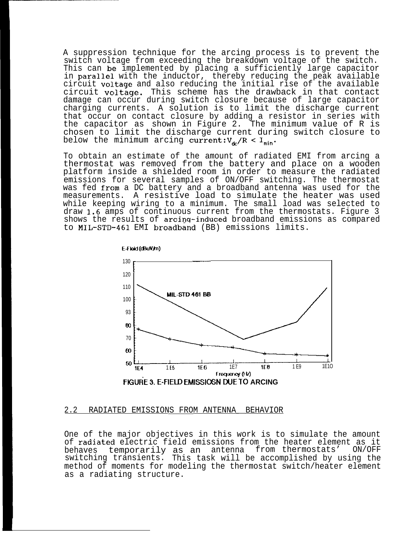A suppression technique for the arcing process is to prevent the switch voltage from exceeding the breakdown voltage of the switch. This can be implemented by placing a sufficiently large capacitor in parallel with the inductor, thereby reducing the peak available circuit voltage and also reducing the initial rise of the available circuit voltage. This scheme has the drawback in that contact damage can occur during switch closure because of large capacitor charging currents. A solution is to limit the discharge current that occur on contact closure by adding a resistor in series with the capacitor as shown in Figure 2. The minimum value of R is chosen to limit the discharge current during switch closure to below the minimum arcing current: $V_{\text{A}}/R < I_{\text{min}}$ .

To obtain an estimate of the amount of radiated EMI from arcing a thermostat was removed from the battery and place on a wooden platform inside a shielded room in order to measure the radiated emissions for several samples of ON/OFF switching. The thermostat was fed from a DC battery and a broadband antenna was used for the measurements. A resistive load to simulate the heater was used while keeping wiring to a minimum. The small load was selected to draw 1.6 amps of continuous current from the thermostats. Figure 3 shows the results of arcinq-induced broadband emissions as compared to MIL-STD-461 EMI broadband (BB) emissions limits.



#### 2.2 RADIATED EMISSIONS FROM ANTENNA\_\_BEHAVIOR

One of the major objectives in this work is to simulate the amount of radiated electric field emissions from the heater element as it behaves temporarily as an antenna from thermostats' ON/OFF switching transients. This task will be accomplished by using the method of moments for modeling the thermostat switch/heater element as a radiating structure.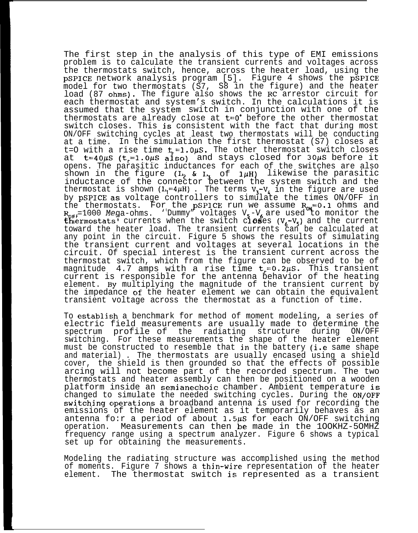The first step in the analysis of this type of EMI emissions problem is to calculate the transient currents and voltages across the thermostats switch, hence, across the heater load, using the pSPICE network analysis program [5]. Figure 4 shows the pSPICE model for two thermostats (S7, S8 in the figure) and the heater load (87 ohms). The figure also shows the RC arrestor circuit for each thermostat and system's switch. In the calculations it is assumed that the system switch in conjunction with one of the thermostats are already close at  $t=0$ <sup>+</sup> before the other thermostat switch closes. This is consistent with the fact that during most ON/OFF switching cycles at least two thermostats will be conducting at a time. In the simulation the first thermostat (S7) closes at t=O with a rise time  $t = 1.0 \mu S$ . The other thermostat switch closes at  $t=40\mu S$  ( $t=1.0\mu S$  also) and stays closed for 30 $\mu S$  before it opens. The parasitic inductances for each of the switches are also shown in the figure ( $L_2$  &  $L_3$  of  $1\mu$ H) likewise the parasitic inductance of the connector between the system switch and the thermostat is shown  $(L_1=4\mu H)$ . The terms  $V_3-V_4$  in the figure are used by pSPICE as voltage controllers to simulate the times ON/OFF in the thermostats. For the pSPICE run we assume  $R_{\text{ow}}=0.1$  ohms and R<sub>OFF</sub>=1000 Mega-onms. 'Dummy" voltages v<sub>5</sub>-v<sub>6</sub> are used to monitor the<br>thermostats' currents when the switch cl**os**es (V<sub>6</sub>-V<sub>5</sub>) and the current  $\frac{1000 \text{ Nega-ohms}}{1000 \text{ Nega-ohms}}$ . 'Dummy" voltages  $V_5-V_6$  are used to monitor the toward the heater load. The transient currents can be calculated at any point in the circuit. Figure 5 shows the results of simulating the transient current and voltages at several locations in the circuit. Of special interest is the transient current across the thermostat switch, which from the figure can be observed to be of magnitude  $4.7$  amps with a rise time  $t_{\mathsf{r}}\texttt{=}0.2\mu S.$  This transient current is responsible for the antenna behavior of the heating element. By multiplying the magnitude of the transient current by the impedance of the heater element we can obtain the equivalent transient voltage across the thermostat as a function of time.

To establish a benchmark for method of moment modeling, a series of electric field measurements are usually made to determine the spectrum profile of the radiating structure during ON/OFF switching. For these measurements the shape of the heater element must be constructed to resemble that in the battery (i.e same shape and material) . The thermostats are usually encased using a shield cover, the shield is then grounded so that the effects of possible arcing will not become part of the recorded spectrum. The two thermostats and heater assembly can then be positioned on a wooden platform inside an semianechoic chamber. Ambient temperature is changed to simulate the needed switching cycles. During the ON/OFF switching operations a broadband antenna is used for recording the emissions of the heater element as it temporarily behaves as an antenna fo:r a period of about  $1.5\mu$ S for each ON/OFF switching operation. Measurements can then be made in the 1OOKHZ-5OMHZ frequency range using a spectrum analyzer. Figure 6 shows a typical set up for obtaining the measurements.

Modeling the radiating structure was accomplished using the method of moments. Figure 7 shows a thjn-wire representation of the heater element. The thermostat switch is represented as a transient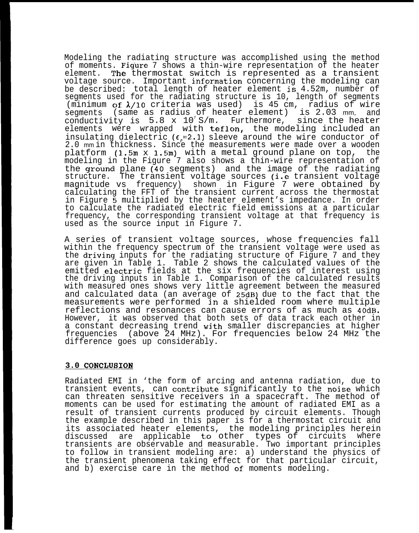Modeling the radiating structure was accomplished using the method of moments. Figure 7 shows a thin-wire representation of the heater element. The thermostat switch is represented as a transient voltage source. Important information concerning the modeling can be described: total length of heater element is 4.52m, number of segments used for the radiating structure is 10, length of segments (minimum of  $\lambda/10$  criteria was used) is 45 cm, radius of wire segments (same as radius of heater element) is 2.03 mm, and conductivity is  $5.8 \times 10^{7} \text{ S/m}$ . Furthermore, since the heater elements were wrapped with teflon, the modeling included an insulating dielectric ( $\varepsilon$ =2.1) sleeve around the wire conductor of 2.0 mm in thickness. Since the measurements were made over a wooden platform (1.5m x 1.5m) with a metal ground plane on top, the modeling in the Figure 7 also shows a thin-wire representation of the ground plane  $(40$  segments) and the image of the radiating structure. The transient voltage sources (i.e transient voltage magnitude vs frequency) shown in Figure 7 were obtained by calculating the FFT of the transient current across the thermostat in Figure 5 multiplied by the heater element's impedance. In order to calculate the radiated electric field emissions at a particular frequency, the corresponding transient voltage at that frequency is used as the source input in Figure 7.

A series of transient voltage sources, whose frequencies fall within the frequency spectrum of the transient voltage were used as the driving inputs for the radiating structure of Figure 7 and they are given in Table 1. Table 2 shows the calculated values of the emitted electric fields at the six frequencies of interest using the driving inputs in Table 1. Comparison of the calculated results with measured ones shows very little agreement between the measured and calculated data (an average of 25dB) due to the fact that the measurements were performed in a shielded room where multiple reflections and resonances can cause errors of as much as 40dB. However, it was observed that both sets of data track each other in a constant decreasing trend with smaller discrepancies at higher frequencies (above 24 MHz). For frequencies below 24 MHz the difference goes up considerably.

# **3.0 CONCLUSION**

Radiated EMI in 'the form of arcing and antenna radiation, due to transient events, can contribute significantly to the noise which can threaten sensitive receivers in a spacecraft. The method of moments can be used for estimating the amount of radiated EMI as a result of transient currents produced by circuit elements. Though the example described in this paper is for a thermostat circuit and its associated heater elements, the modeling principles herein discussed are applicable to other types of circuits where transients are observable and measurable. Two important principles to follow in transient modeling are: a) understand the physics of the transient phenomena taking effect for that particular circuit, and b) exercise care in the method of moments modeling.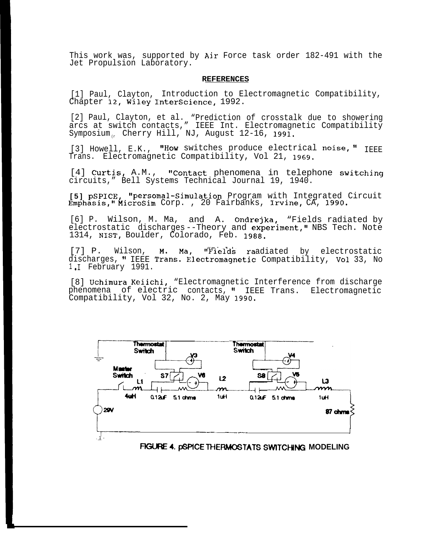This work was, supported by Air Force task order 182-491 with the Jet Propulsion Laboratory.

#### **REFERENCES**

[1] Paul, Clayton, Introduction to Electromagnetic Compatibility, Chapter 12, Wiley InterScience, 1992.

[2] Paul, Clayton, et al. "Prediction of crosstalk due to showering arcs at switch contacts," IEEE Int. Electromagnetic Compatibility Symposium Cherry Hill, NJ, August  $12-16$ , 1991.

[3] Howell, E.K., "How switches produce electrical noise,"  $I_{\text{ERE}}$ Trans. Electromagnetic Compatibility, Vol 21, 1969.

[4] Curtis, A.M., "Contact phenomena in telephone switching circuits," Bell Systems Technical Journal 19, 1940.

**[5] pSPICE,** "persomal-Simulation Program with Integrated Circuit Emphasis," Microsim Corp., 20 Fairbanks, Irvine, CA, 1990.

[6] P. Wilson, M. Ma, and A. Ondrejka, "Fields radiated by electrostatic discharges--Theory and experiment," NBS Tech. Note 1314, NIST, Boulder, Colorado, Feb. 1988.

[7] P. Wilson, M. Ma, "Fields raadiated by electrostatic discharges, " IEEE Trans. Electromagnetic Compatibility, Vol 33, No  $1 \cdot I$  February 1991.

[8] Uchimura Keiichi, "Electromagnetic Interference from discharge phenomena of electric contacts, " IEEE Trans. Electromagnetic Compatibility, Vol 32, No. 2, May 1990.



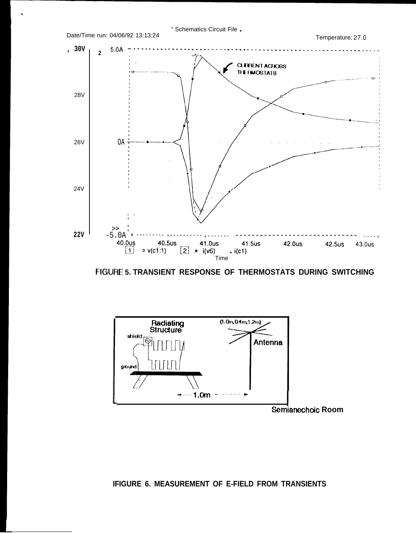

FIGURE 5. TRANSIENT RESPONSE OF THERMOSTATS DURING SWITCHING



# IFIGURE 6. MEASUREMENT OF E-FIELD FROM TRANSIENTS